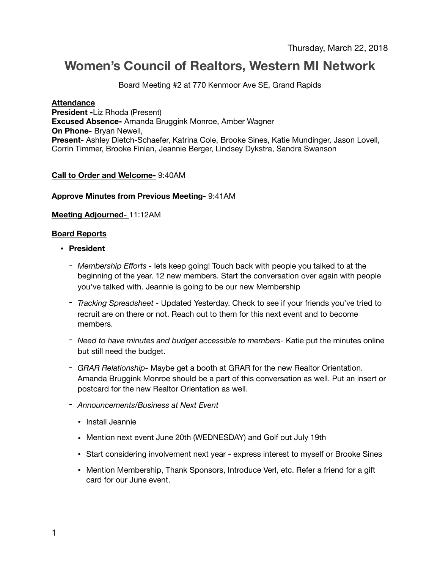# **Women's Council of Realtors, Western MI Network**

Board Meeting #2 at 770 Kenmoor Ave SE, Grand Rapids

#### **Attendance**

**President -**Liz Rhoda (Present) **Excused Absence-** Amanda Bruggink Monroe, Amber Wagner **On Phone-** Bryan Newell, **Present-** Ashley Dietch-Schaefer, Katrina Cole, Brooke Sines, Katie Mundinger, Jason Lovell, Corrin Timmer, Brooke Finlan, Jeannie Berger, Lindsey Dykstra, Sandra Swanson

## **Call to Order and Welcome-** 9:40AM

#### **Approve Minutes from Previous Meeting-** 9:41AM

#### **Meeting Adjourned-** 11:12AM

#### **Board Reports**

- **• President** 
	- *Membership Efforts -* lets keep going! Touch back with people you talked to at the beginning of the year. 12 new members. Start the conversation over again with people you've talked with. Jeannie is going to be our new Membership
	- *- Tracking Spreadsheet* Updated Yesterday. Check to see if your friends you've tried to recruit are on there or not. Reach out to them for this next event and to become members.
	- *Need to have minutes and budget accessible to members-* Katie put the minutes online but still need the budget.
	- *- GRAR Relationship-* Maybe get a booth at GRAR for the new Realtor Orientation. Amanda Bruggink Monroe should be a part of this conversation as well. Put an insert or postcard for the new Realtor Orientation as well.
	- *- Announcements/Business at Next Event* 
		- Install Jeannie
		- Mention next event June 20th (WEDNESDAY) and Golf out July 19th
		- Start considering involvement next year express interest to myself or Brooke Sines
		- Mention Membership, Thank Sponsors, Introduce Verl, etc. Refer a friend for a gift card for our June event.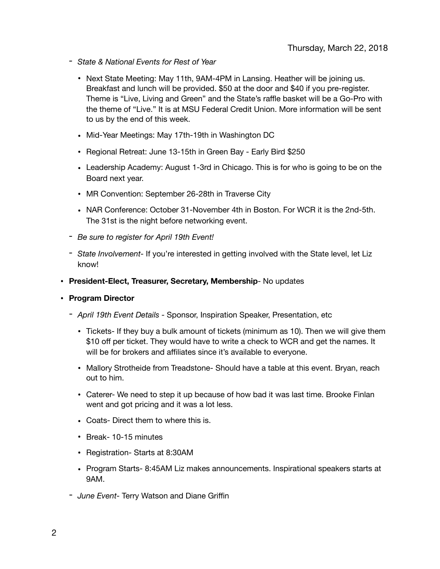- *- State & National Events for Rest of Year* 
	- Next State Meeting: May 11th, 9AM-4PM in Lansing. Heather will be joining us. Breakfast and lunch will be provided. \$50 at the door and \$40 if you pre-register. Theme is "Live, Living and Green" and the State's raffle basket will be a Go-Pro with the theme of "Live." It is at MSU Federal Credit Union. More information will be sent to us by the end of this week.
	- Mid-Year Meetings: May 17th-19th in Washington DC
	- Regional Retreat: June 13-15th in Green Bay Early Bird \$250
	- Leadership Academy: August 1-3rd in Chicago. This is for who is going to be on the Board next year.
	- MR Convention: September 26-28th in Traverse City
	- NAR Conference: October 31-November 4th in Boston. For WCR it is the 2nd-5th. The 31st is the night before networking event.
- *- Be sure to register for April 19th Event!*
- *- State Involvement-* If you're interested in getting involved with the State level, let Liz know!
- **• President-Elect, Treasurer, Secretary, Membership** No updates

## **• Program Director**

- *April 19th Event Details -* Sponsor, Inspiration Speaker, Presentation, etc
	- Tickets- If they buy a bulk amount of tickets (minimum as 10). Then we will give them \$10 off per ticket. They would have to write a check to WCR and get the names. It will be for brokers and affiliates since it's available to everyone.
	- Mallory Strotheide from Treadstone- Should have a table at this event. Bryan, reach out to him.
	- Caterer- We need to step it up because of how bad it was last time. Brooke Finlan went and got pricing and it was a lot less.
	- Coats- Direct them to where this is.
	- Break- 10-15 minutes
	- Registration- Starts at 8:30AM
	- Program Starts- 8:45AM Liz makes announcements. Inspirational speakers starts at 9AM.
- *June Event-* Terry Watson and Diane Griffin